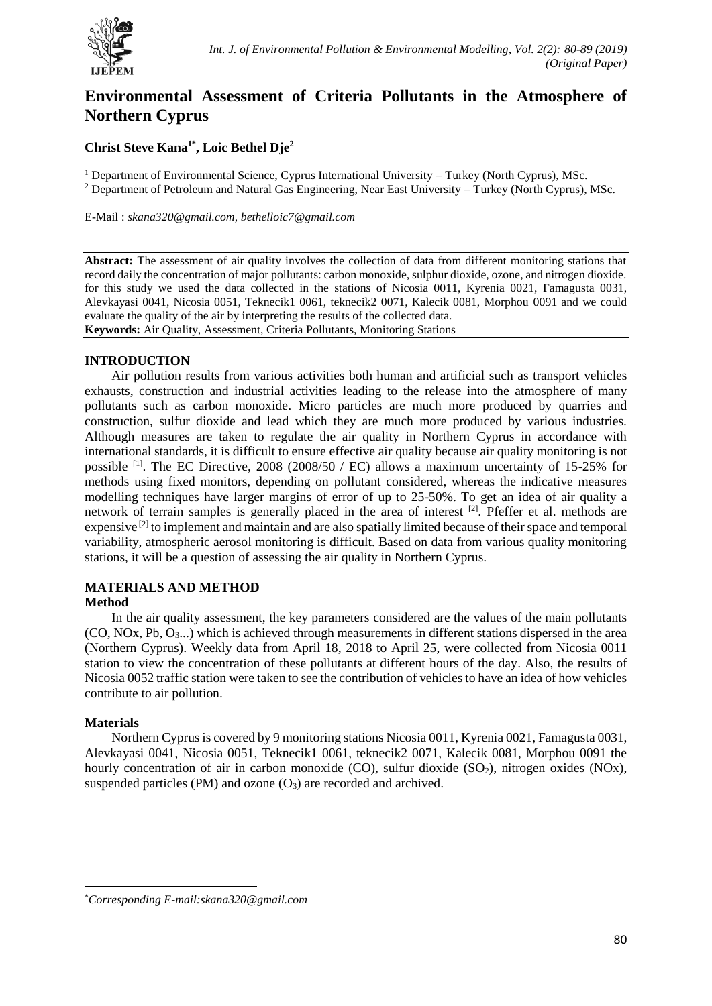

# **Environmental Assessment of Criteria Pollutants in the Atmosphere of Northern Cyprus**

## **Christ Steve Kana1\* , Loic Bethel Dje<sup>2</sup>**

<sup>1</sup> Department of Environmental Science, Cyprus International University – Turkey (North Cyprus), MSc.

<sup>2</sup> Department of Petroleum and Natural Gas Engineering, Near East University – Turkey (North Cyprus), MSc.

E-Mail : *[skana320@gmail.com,](mailto:skana320@gmail.com) bethelloic7@gmail.com*

**Abstract:** The assessment of air quality involves the collection of data from different monitoring stations that record daily the concentration of major pollutants: carbon monoxide, sulphur dioxide, ozone, and nitrogen dioxide. for this study we used the data collected in the stations of Nicosia 0011, Kyrenia 0021, Famagusta 0031, Alevkayasi 0041, Nicosia 0051, Teknecik1 0061, teknecik2 0071, Kalecik 0081, Morphou 0091 and we could evaluate the quality of the air by interpreting the results of the collected data. **Keywords:** Air Quality, Assessment, Criteria Pollutants, Monitoring Stations

### **INTRODUCTION**

Air pollution results from various activities both human and artificial such as transport vehicles exhausts, construction and industrial activities leading to the release into the atmosphere of many pollutants such as carbon monoxide. Micro particles are much more produced by quarries and construction, sulfur dioxide and lead which they are much more produced by various industries. Although measures are taken to regulate the air quality in Northern Cyprus in accordance with international standards, it is difficult to ensure effective air quality because air quality monitoring is not possible <sup>[1]</sup>. The EC Directive, 2008 (2008/50 / EC) allows a maximum uncertainty of 15-25% for methods using fixed monitors, depending on pollutant considered, whereas the indicative measures modelling techniques have larger margins of error of up to 25-50%. To get an idea of air quality a network of terrain samples is generally placed in the area of interest <sup>[2]</sup>. Pfeffer et al. methods are expensive [2] to implement and maintain and are also spatially limited because of their space and temporal variability, atmospheric aerosol monitoring is difficult. Based on data from various quality monitoring stations, it will be a question of assessing the air quality in Northern Cyprus.

# **MATERIALS AND METHOD**

#### **Method**

In the air quality assessment, the key parameters considered are the values of the main pollutants (CO, NOx, Pb, O3...) which is achieved through measurements in different stations dispersed in the area (Northern Cyprus). Weekly data from April 18, 2018 to April 25, were collected from Nicosia 0011 station to view the concentration of these pollutants at different hours of the day. Also, the results of Nicosia 0052 traffic station were taken to see the contribution of vehicles to have an idea of how vehicles contribute to air pollution.

#### **Materials**

1

Northern Cyprus is covered by 9 monitoring stations Nicosia 0011, Kyrenia 0021, Famagusta 0031, Alevkayasi 0041, Nicosia 0051, Teknecik1 0061, teknecik2 0071, Kalecik 0081, Morphou 0091 the hourly concentration of air in carbon monoxide (CO), sulfur dioxide  $(SO<sub>2</sub>)$ , nitrogen oxides (NOx), suspended particles (PM) and ozone  $(O_3)$  are recorded and archived.

<sup>\*</sup>*Corresponding E-mail:skana320@gmail.com*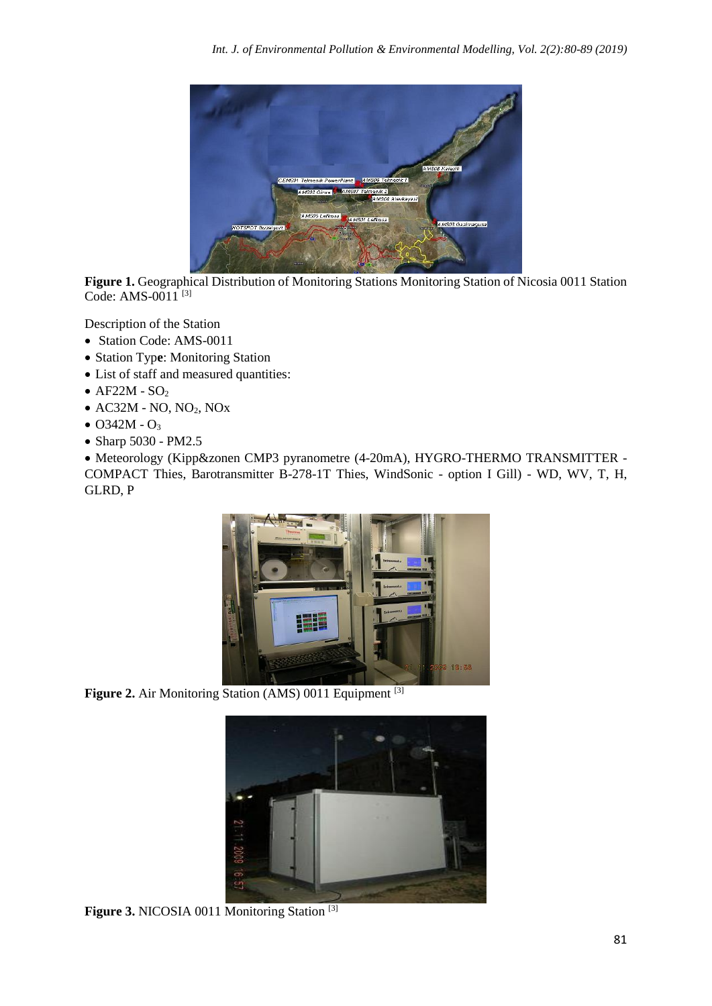

Figure 1. Geographical Distribution of Monitoring Stations Monitoring Station of Nicosia 0011 Station Code: AMS-0011<sup>[3]</sup>

Description of the Station

- Station Code: AMS-0011
- Station Typ**e**: Monitoring Station
- List of staff and measured quantities:
- $AF22M SO<sub>2</sub>$
- $\bullet$  AC32M NO, NO<sub>2</sub>, NO<sub>x</sub>
- $O342M O_3$
- Sharp 5030 PM2.5

• Meteorology (Kipp&zonen CMP3 pyranometre (4-20mA), HYGRO-THERMO TRANSMITTER - COMPACT Thies, Barotransmitter B-278-1T Thies, WindSonic - option I Gill) - WD, WV, T, H, GLRD, P



Figure 2. Air Monitoring Station (AMS) 0011 Equipment <sup>[3]</sup>



Figure 3. NICOSIA 0011 Monitoring Station<sup>[3]</sup>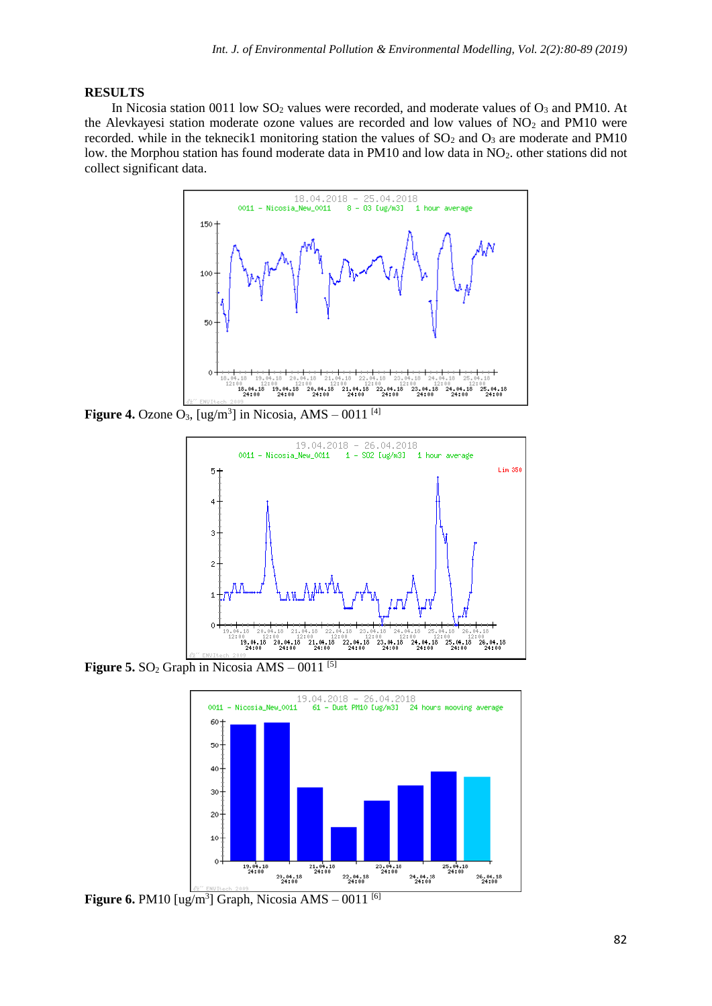### **RESULTS**

In Nicosia station 0011 low  $SO_2$  values were recorded, and moderate values of  $O_3$  and PM10. At the Alevkayesi station moderate ozone values are recorded and low values of  $NO<sub>2</sub>$  and PM10 were recorded. while in the teknecik1 monitoring station the values of  $SO<sub>2</sub>$  and  $O<sub>3</sub>$  are moderate and PM10 low. the Morphou station has found moderate data in PM10 and low data in NO<sub>2</sub>. other stations did not collect significant data.



**Figure 4.** Ozone  $O_3$ ,  $[ug/m^3]$  in Nicosia, AMS – 0011<sup>[4]</sup>



**Figure 5.**  $SO_2$  Graph in Nicosia  $AMS - 0011$ <sup>[5]</sup>



**Figure 6.** PM10 [ug/m<sup>3</sup>] Graph, Nicosia AMS  $-$  0011 [6]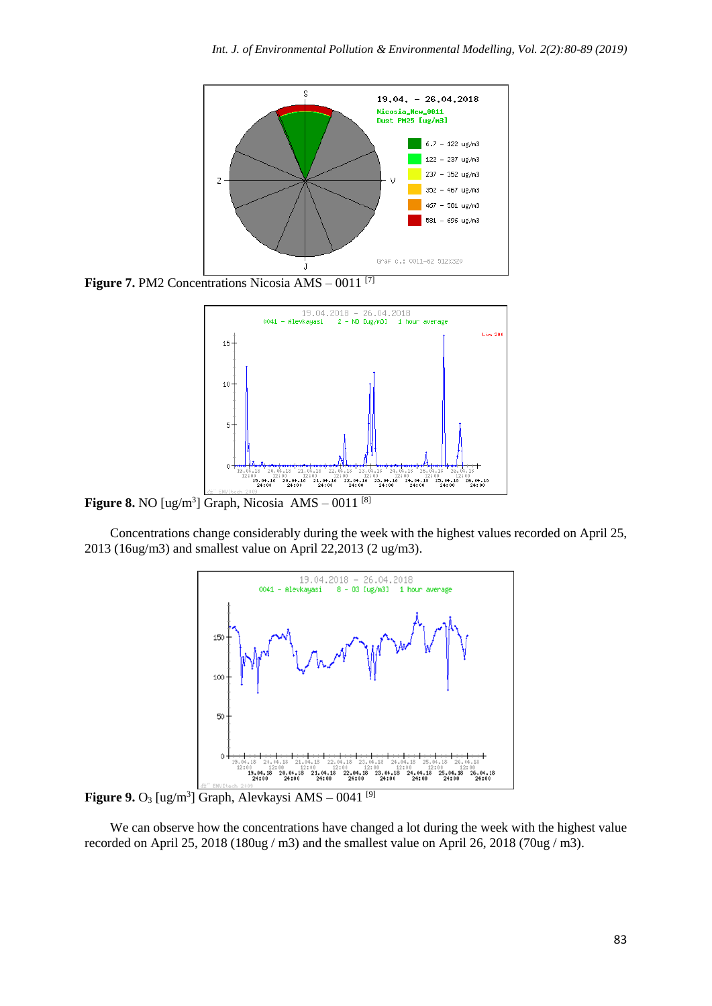

**Figure 7.** PM2 Concentrations Nicosia AMS – 0011<sup>[7]</sup>



**Figure 8.** NO  $[ug/m<sup>3</sup>]$  Graph, Nicosia AMS  $-$  0011<sup>[8]</sup>

Concentrations change considerably during the week with the highest values recorded on April 25, 2013 (16ug/m3) and smallest value on April 22,2013 (2 ug/m3).



**Figure 9.** O<sub>3</sub> [ug/m<sup>3</sup>] Graph, Alevkaysi AMS  $-$  0041 <sup>[9]</sup>

We can observe how the concentrations have changed a lot during the week with the highest value recorded on April 25, 2018 (180ug / m3) and the smallest value on April 26, 2018 (70ug / m3).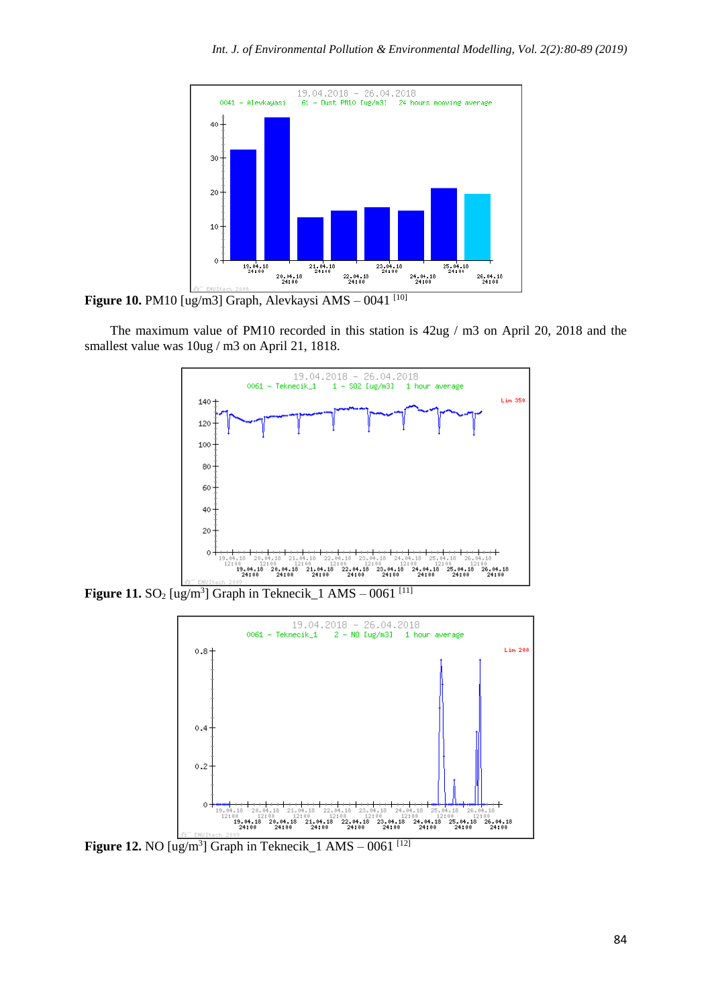

**Figure 10.** PM10 [ug/m3] Graph, Alevkaysi AMS – 0041<sup>[10]</sup>

The maximum value of PM10 recorded in this station is 42ug / m3 on April 20, 2018 and the smallest value was 10ug / m3 on April 21, 1818.



**Figure 11.** SO<sub>2</sub> [ug/m<sup>3</sup>] Graph in Teknecik\_1 AMS  $-0.061$ <sup>[11]</sup>



**Figure 12.** NO  $[\text{ug/m}^3]$  Graph in Teknecik 1 AMS – 0061  $^{[12]}$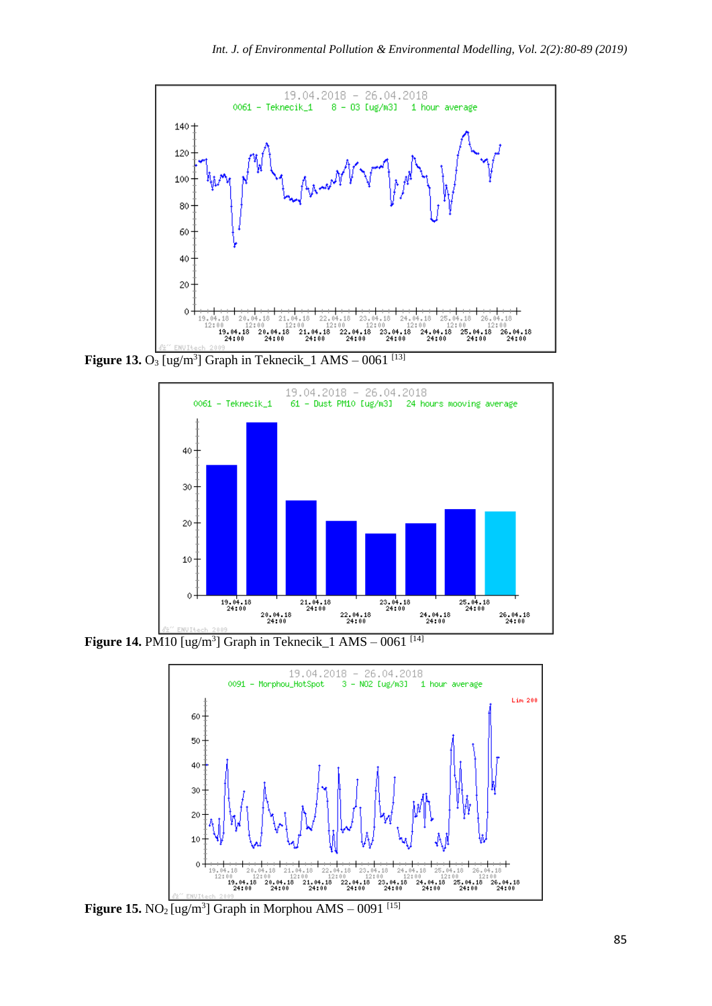

**Figure 13.** O<sub>3</sub> [ug/m<sup>3</sup>] Graph in Teknecik\_1 AMS – 0061 <sup>[13]</sup>



**Figure 14.** PM10  $\left[\frac{ug}{m^3}\right]$  Graph in Teknecik 1 AMS – 0061  $^{[14]}$ 



**Figure 15.** NO<sub>2</sub> [ug/m<sup>3</sup>] Graph in Morphou AMS  $-$  0091<sup>[15]</sup>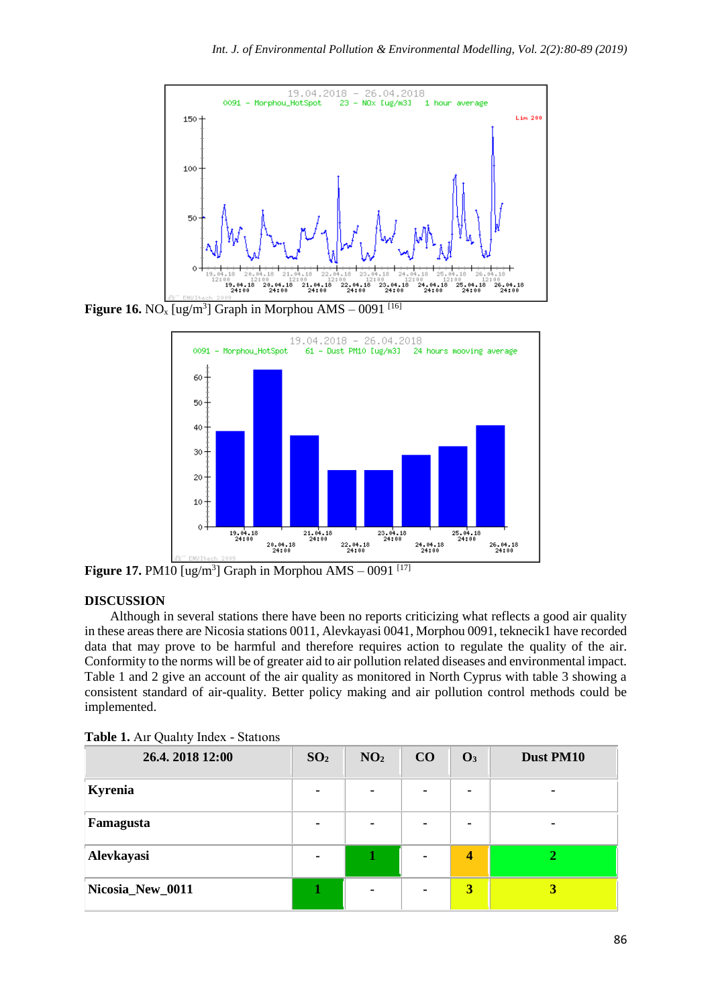

**Figure 16.** NO<sub>x</sub> [ug/m<sup>3</sup>] Graph in Morphou AMS – 0091<sup>[16]</sup>



**Figure 17.** PM10 [ug/m<sup>3</sup>] Graph in Morphou AMS  $-0091$ <sup>[17]</sup>

#### **DISCUSSION**

Although in several stations there have been no reports criticizing what reflects a good air quality in these areas there are Nicosia stations 0011, Alevkayasi 0041, Morphou 0091, teknecik1 have recorded data that may prove to be harmful and therefore requires action to regulate the quality of the air. Conformity to the norms will be of greater aid to air pollution related diseases and environmental impact. Table 1 and 2 give an account of the air quality as monitored in North Cyprus with table 3 showing a consistent standard of air-quality. Better policy making and air pollution control methods could be implemented.

| 26.4.2018 12:00  | SO <sub>2</sub> | NO <sub>2</sub> | CO | $\mathbf{O}_3$          | Dust PM10 |
|------------------|-----------------|-----------------|----|-------------------------|-----------|
| Kyrenia          |                 | $\blacksquare$  |    |                         |           |
| Famagusta        |                 | $\blacksquare$  |    |                         |           |
| Alevkayasi       |                 | 1               |    | $\overline{\mathbf{4}}$ |           |
| Nicosia_New_0011 |                 | ٠               |    | 3                       | 3         |

**Table 1.** Aır Qualıty Index - Statıons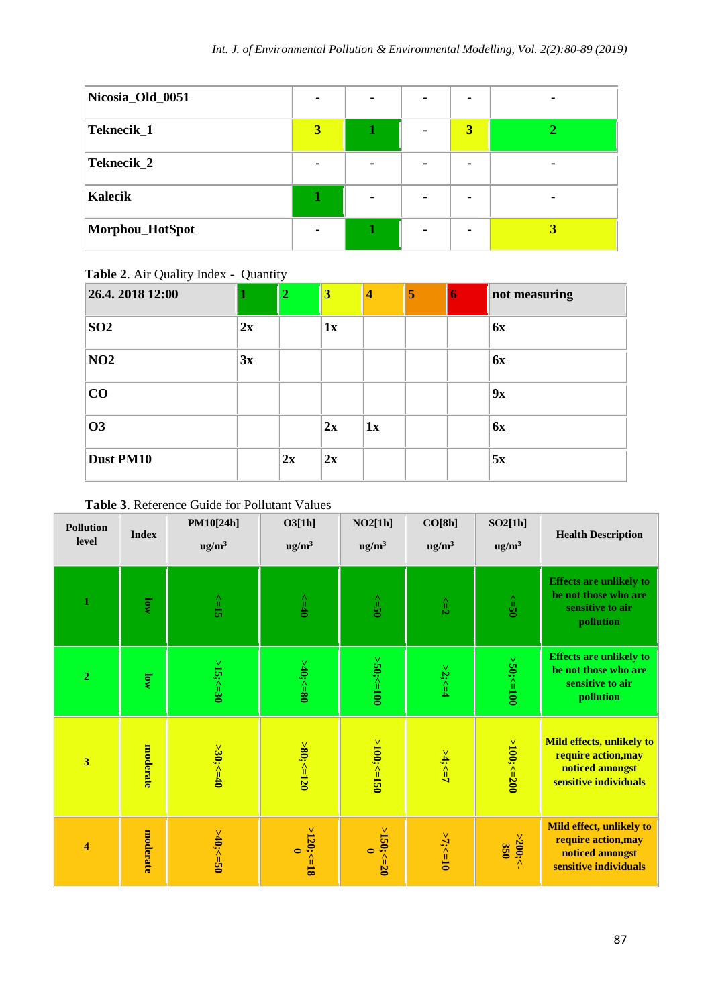| Nicosia_Old_0051 |                |   |                         |  |
|------------------|----------------|---|-------------------------|--|
| Teknecik_1       | 3              |   | $\overline{\mathbf{3}}$ |  |
| Teknecik_2       |                |   |                         |  |
| Kalecik          |                | ۰ |                         |  |
| Morphou_HotSpot  | $\blacksquare$ |   |                         |  |

**Table 2**. Air Quality Index - Quantity

| 26.4.2018 12:00 |    | 2  | 3  | 4  | 5 | D | not measuring |
|-----------------|----|----|----|----|---|---|---------------|
| SO <sub>2</sub> | 2x |    | 1x |    |   |   | 6x            |
| NO2             | 3x |    |    |    |   |   | 6x            |
| CO              |    |    |    |    |   |   | 9x            |
| <b>O3</b>       |    |    | 2x | 1x |   |   | <b>6x</b>     |
| Dust PM10       |    | 2x | 2x |    |   |   | 5x            |

# **Table 3**. Reference Guide for Pollutant Values

| <b>Pollution</b><br>level | <b>Index</b>     | PM10[24h]<br>ug/m <sup>3</sup> | O3[1h]<br>$\text{ug/m}^3$ | NO2[1h]<br>ug/m <sup>3</sup> | CO[8h]<br>ug/m <sup>3</sup> | SO2[1h]<br>$\text{ug/m}^3$ | <b>Health Description</b>                                                                    |
|---------------------------|------------------|--------------------------------|---------------------------|------------------------------|-----------------------------|----------------------------|----------------------------------------------------------------------------------------------|
| $\mathbf{1}$              | MO               | $\leq$                         | $\rightarrow$             | $s = 50$                     | $z = 2$                     | $0S = 20$                  | <b>Effects are unlikely to</b><br>be not those who are<br>sensitive to air<br>pollution      |
| $\overline{2}$            | $\overline{10W}$ | $>15$ ;<=30                    | $>40$ ;<=80               | $> 50$ ;< $= 100$            | $>2$ ;<=4                   | $>50$ ;<=100               | <b>Effects are unlikely to</b><br>be not those who are<br>sensitive to air<br>pollution      |
| $\overline{\mathbf{3}}$   | moderate         | $>30;<=40$                     | $>80; < = 120$            | $>100$ ;<=150                | $24; < -7$                  | $>100$ ;<=200              | Mild effects, unlikely to<br>require action, may<br>noticed amongst<br>sensitive individuals |
| $\overline{\bf{4}}$       | moderate         | $>40; < = 50$                  | >120; <18<br>$\bullet$    | $>150; < = 20$<br>$\bullet$  | $>7$ ;<=10                  | $>200$ ;<                  | Mild effect, unlikely to<br>require action, may<br>noticed amongst<br>sensitive individuals  |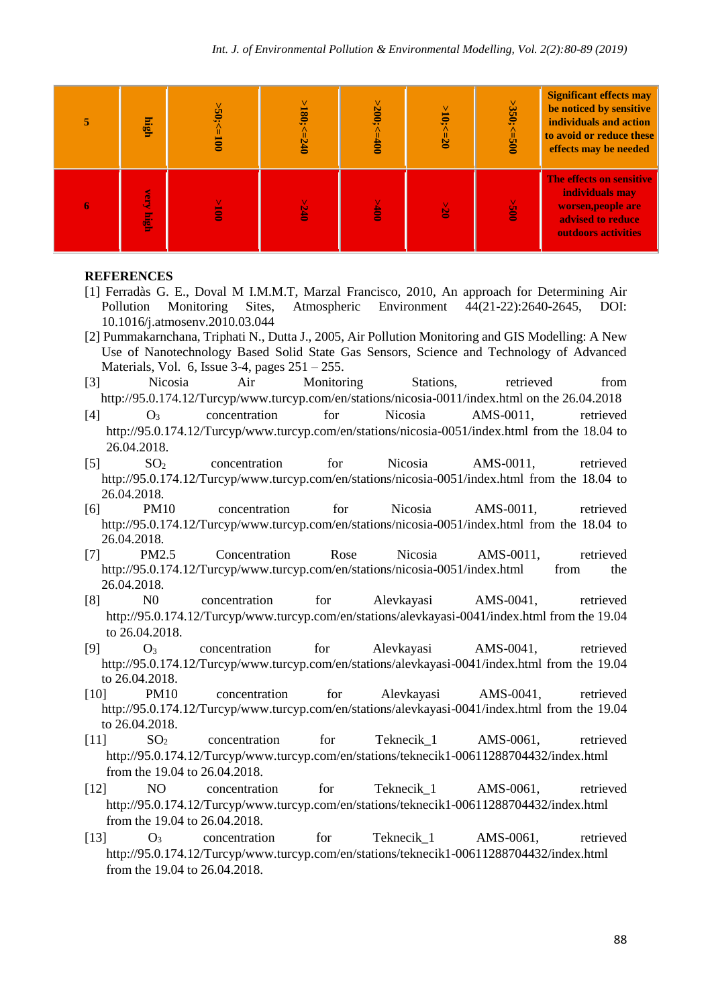| high                 | $-50.550$     | $>180$ ;< | $>200$ ;<<br>$\frac{400}{5}$ | $>10$ ;<=20 | $>350; < = 500$ | <b>Significant effects may</b><br>be noticed by sensitive<br>individuals and action<br>to avoid or reduce these<br>effects may be needed |
|----------------------|---------------|-----------|------------------------------|-------------|-----------------|------------------------------------------------------------------------------------------------------------------------------------------|
| very<br><u>ingin</u> | $\frac{6}{2}$ | 9240      | $rac{K}{2}$                  | <b>ISP</b>  | $rac{c}{100}$   | The effects on sensitive<br>individuals may<br>worsen, people are<br>advised to reduce<br>outdoors activities                            |

#### **REFERENCES**

- [1] Ferradàs G. E., Doval M I.M.M.T, Marzal Francisco, 2010, An approach for Determining Air Pollution Monitoring Sites, Atmospheric Environment 44(21-22):2640-2645, DOI: 10.1016/j.atmosenv.2010.03.044
- [2] Pummakarnchana, Triphati N., Dutta J., 2005, Air Pollution Monitoring and GIS Modelling: A New Use of Nanotechnology Based Solid State Gas Sensors, Science and Technology of Advanced Materials, Vol. 6, Issue 3-4, pages  $251 - 255$ .
- [3] Nicosia Air Monitoring Stations, retrieved from <http://95.0.174.12/Turcyp/www.turcyp.com/en/stations/nicosia-0011/index.html> on the 26.04.2018
- [4] O<sup>3</sup> concentration for Nicosia AMS-0011, retrieved <http://95.0.174.12/Turcyp/www.turcyp.com/en/stations/nicosia-0051/index.html> from the 18.04 to 26.04.2018.
- [5] SO<sub>2</sub> concentration for Nicosia AMS-0011, retrieved <http://95.0.174.12/Turcyp/www.turcyp.com/en/stations/nicosia-0051/index.html> from the 18.04 to 26.04.2018.
- [6] PM10 concentration for Nicosia AMS-0011, retrieved <http://95.0.174.12/Turcyp/www.turcyp.com/en/stations/nicosia-0051/index.html> from the 18.04 to 26.04.2018.
- [7] PM2.5 Concentration Rose Nicosia AMS-0011, retrieved <http://95.0.174.12/Turcyp/www.turcyp.com/en/stations/nicosia-0051/index.html> from the 26.04.2018.
- [8] N0 concentration for Alevkayasi AMS-0041, retrieved <http://95.0.174.12/Turcyp/www.turcyp.com/en/stations/alevkayasi-0041/index.html> from the 19.04 to 26.04.2018.
- [9] O<sup>3</sup> concentration for Alevkayasi AMS-0041, retrieved <http://95.0.174.12/Turcyp/www.turcyp.com/en/stations/alevkayasi-0041/index.html> from the 19.04 to 26.04.2018.
- [10] PM10 concentration for Alevkayasi AMS-0041, retrieved <http://95.0.174.12/Turcyp/www.turcyp.com/en/stations/alevkayasi-0041/index.html> from the 19.04 to 26.04.2018.
- [11] SO<sub>2</sub> concentration for Teknecik 1 AMS-0061, retrieved <http://95.0.174.12/Turcyp/www.turcyp.com/en/stations/teknecik1-00611288704432/index.html> from the 19.04 to 26.04.2018.
- [12] NO concentration for Teknecik 1 AMS-0061, retrieved <http://95.0.174.12/Turcyp/www.turcyp.com/en/stations/teknecik1-00611288704432/index.html> from the 19.04 to 26.04.2018.
- [13] O<sub>3</sub> concentration for Teknecik 1 AMS-0061, retrieved <http://95.0.174.12/Turcyp/www.turcyp.com/en/stations/teknecik1-00611288704432/index.html> from the 19.04 to 26.04.2018.